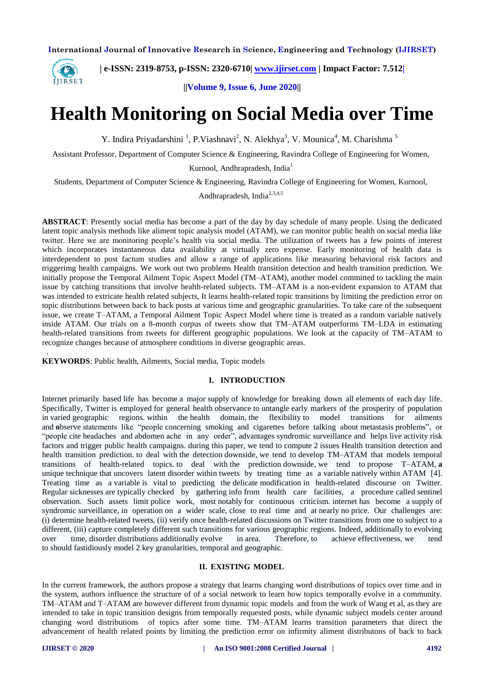

.

 **| e-ISSN: 2319-8753, p-ISSN: 2320-6710| [www.ijirset.com](http://www.ijirset.com/) | Impact Factor: 7.512|**

**||Volume 9, Issue 6, June 2020||** 

# **Health Monitoring on Social Media over Time**

Y. Indira Priyadarshini<sup>1</sup>, P.Viashnavi<sup>2</sup>, N. Alekhya<sup>3</sup>, V. Mounica<sup>4</sup>, M. Charishma<sup>5</sup>

Assistant Professor, Department of Computer Science & Engineering, Ravindra College of Engineering for Women,

Kurnool, Andhrapradesh, India<sup>1</sup>

Students, Department of Computer Science & Engineering, Ravindra College of Engineering for Women, Kurnool, Andhrapradesh, India $^{2,3,4,5}$ 

**ABSTRACT**: Presently social media has become a part of the day by day schedule of many people. Using the dedicated latent topic analysis methods like aliment topic analysis model (ATAM), we can monitor public health on social media like twitter. Here we are monitoring people's health via social media. The utilization of tweets has a few points of interest which incorporates instantaneous data availability at virtually zero expense. Early monitoring of health data is interdependent to post factum studies and allow a range of applications like measuring behavioral risk factors and triggerimg health campaigns. We work out two problems Health transition detection and health transition prediction. We initially propose the Temporal Ailment Topic Aspect Model (TM–ATAM), another model committed to tackling the main issue by catching transitions that involve health-related subjects. TM–ATAM is a non-evident expansion to ATAM that was intended to extricate health related subjects, It learns health-related topic transitions by limiting the prediction error on topic distributions between back to back posts at various time and geographic granularities. To take care of the subsequent issue, we create T–ATAM, a Temporal Ailment Topic Aspect Model where time is treated as a random variable natively inside ATAM. Our trials on a 8-month corpus of tweets show that TM–ATAM outperforms TM–LDA in estimating health-related transitions from tweets for different geographic populations. We look at the capacity of TM–ATAM to recognize changes because of atmosphere conditions in diverse geographic areas.

**KEYWORDS**: Public health, Ailments, Social media, Topic models

# **I. INTRODUCTION**

Internet primarily based life has become a major supply of knowledge for breaking down all elements of each day life. Specifically, Twitter is employed for general health observance to untangle early markers of the prosperity of population in varied geographic regions. within the health domain, the flexibility to model transitions for ailments and **o**bserve statements like "people concerning smoking and cigarettes before talking about metastasis problems", or "people cite headaches and abdomen ache in any order", advantages syndromic surveillance and helps live activity risk factors and trigger public health campaigns. during this paper, we tend to compute 2 issues Health transition detection and health transition prediction. to deal with the detection downside, we tend to develop TM–ATAM that models temporal transitions of health-related topics. to deal with the prediction downside, we tend to propose T–ATAM, **a**  unique technique that uncovers latent disorder within tweets by treating time as a variable natively within ATAM [4]. Treating time as a variable is vital to predicting the delicate modification in health-related discourse on Twitter. Regular sicknesses are typically checked by gathering info from health care facilities, a procedure called sentinel observation. Such assets limit police work, most notably for continuous criticism. internet has become a supply of syndromic surveillance, in operation on a wider scale, close to real time and at nearly no price. Our challenges are: (i) determine health-related tweets, (ii) verify once health-related discussions on Twitter transitions from one to subject to a different, (iii) capture completely different such transitions for various geographic regions. Indeed, additionally to evolving over time, disorder distributions additionally evolve in area. Therefore, to achieve effectiveness, we tend to should fastidiously model 2 key granularities, temporal and geographic.

#### **II. EXISTING MODEL**

In the current framework, the authors propose a strategy that learns changing word distributions of topics over time and in the system, authors influence the structure of of a social network to learn how topics temporally evolve in a community. TM–ATAM and T–ATAM are however different from dynamic topic models and from the work of Wang et al, as they are intended to take in topic transition designs from temporally requested posts, while dynamic subject models center around changing word distributions of topics after some time. TM–ATAM learns transition parameters that direct the advancement of health related points by limiting the prediction error on infirmity aliment distributons of back to back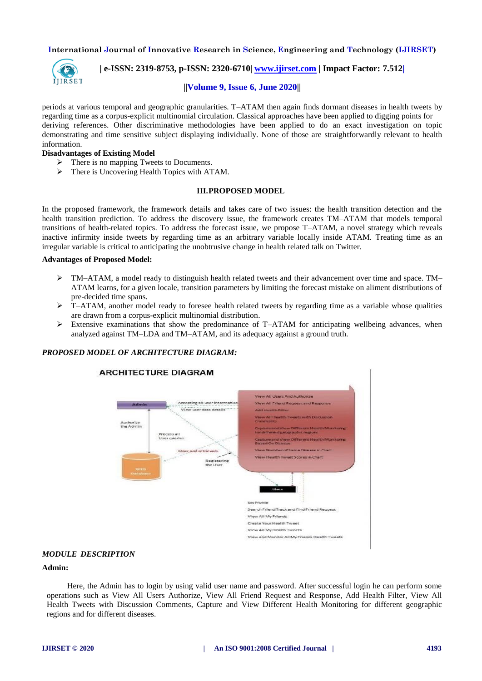

 **| e-ISSN: 2319-8753, p-ISSN: 2320-6710| [www.ijirset.com](http://www.ijirset.com/) | Impact Factor: 7.512|**

# **||Volume 9, Issue 6, June 2020||**

periods at various temporal and geographic granularities. T–ATAM then again finds dormant diseases in health tweets by regarding time as a corpus-explicit multinomial circulation. Classical approaches have been applied to digging points for deriving references. Other discriminative methodologies have been applied to do an exact investigation on topic demonstrating and time sensitive subject displaying individually. None of those are straightforwardly relevant to health information.

#### **Disadvantages of Existing Model**

- $\triangleright$  There is no mapping Tweets to Documents.
- > There is Uncovering Health Topics with ATAM.

# **III.PROPOSED MODEL**

In the proposed framework, the framework details and takes care of two issues: the health transition detection and the health transition prediction. To address the discovery issue, the framework creates TM–ATAM that models temporal transitions of health-related topics. To address the forecast issue, we propose T–ATAM, a novel strategy which reveals inactive infirmity inside tweets by regarding time as an arbitrary variable locally inside ATAM. Treating time as an irregular variable is critical to anticipating the unobtrusive change in health related talk on Twitter.

#### **Advantages of Proposed Model:**

- TM–ATAM, a model ready to distinguish health related tweets and their advancement over time and space. TM– ATAM learns, for a given locale, transition parameters by limiting the forecast mistake on aliment distributions of pre-decided time spans.
- $\triangleright$  T–ATAM, another model ready to foresee health related tweets by regarding time as a variable whose qualities are drawn from a corpus-explicit multinomial distribution.
- Extensive examinations that show the predominance of T–ATAM for anticipating wellbeing advances, when analyzed against TM–LDA and TM–ATAM, and its adequacy against a ground truth.

# *PROPOSED MODEL OF ARCHITECTURE DIAGRAM:*



#### *MODULE DESCRIPTION*

# **Admin:**

Here, the Admin has to login by using valid user name and password. After successful login he can perform some operations such as View All Users Authorize, View All Friend Request and Response, Add Health Filter, View All Health Tweets with Discussion Comments, Capture and View Different Health Monitoring for different geographic regions and for different diseases.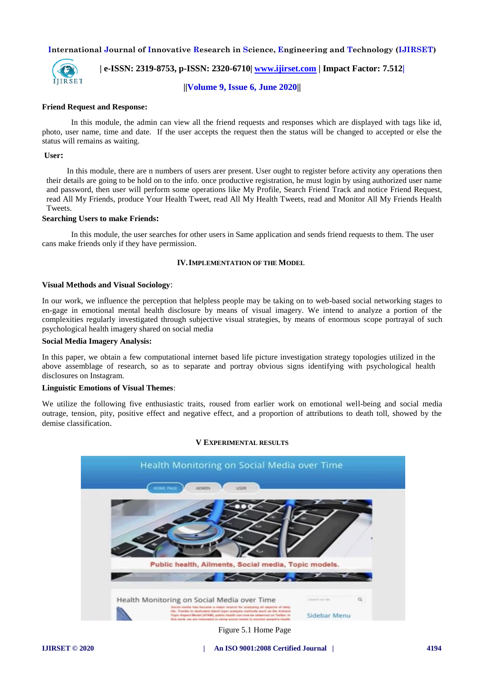

 **| e-ISSN: 2319-8753, p-ISSN: 2320-6710| [www.ijirset.com](http://www.ijirset.com/) | Impact Factor: 7.512|**

**||Volume 9, Issue 6, June 2020||** 

#### **Friend Request and Response:**

In this module, the admin can view all the friend requests and responses which are displayed with tags like id, photo, user name, time and date. If the user accepts the request then the status will be changed to accepted or else the status will remains as waiting.

#### **User:**

In this module, there are n numbers of users arer present. User ought to register before activity any operations then their details are going to be hold on to the info. once productive registration, he must login by using authorized user name and password, then user will perform some operations like My Profile, Search Friend Track and notice Friend Request, read All My Friends, produce Your Health Tweet, read All My Health Tweets, read and Monitor All My Friends Health Tweets.

# **Searching Users to make Friends:**

In this module, the user searches for other users in Same application and sends friend requests to them. The user cans make friends only if they have permission.

## **IV.IMPLEMENTATION OF THE MODEL**

#### **Visual Methods and Visual Sociology**:

In our work, we influence the perception that helpless people may be taking on to web-based social networking stages to en-gage in emotional mental health disclosure by means of visual imagery. We intend to analyze a portion of the complexities regularly investigated through subjective visual strategies, by means of enormous scope portrayal of such psychological health imagery shared on social media

# **Social Media Imagery Analysis:**

In this paper, we obtain a few computational internet based life picture investigation strategy topologies utilized in the above assemblage of research, so as to separate and portray obvious signs identifying with psychological health disclosures on Instagram.

#### **Linguistic Emotions of Visual Themes**:

We utilize the following five enthusiastic traits, roused from earlier work on emotional well-being and social media outrage, tension, pity, positive effect and negative effect, and a proportion of attributions to death toll, showed by the demise classification.



#### **V EXPERIMENTAL RESULTS**

Figure 5.1 Home Page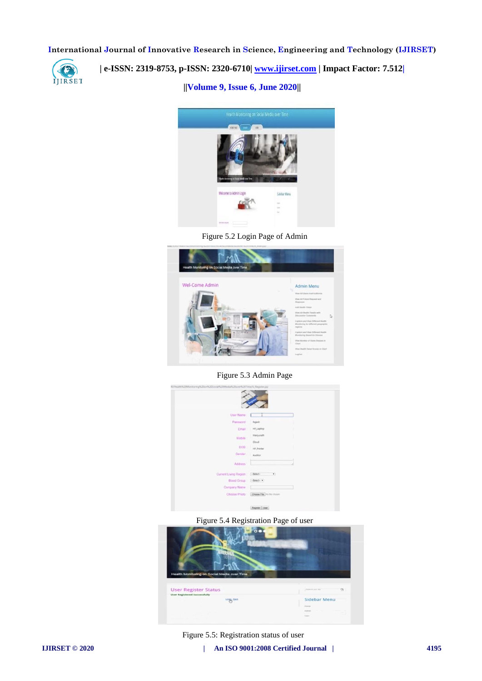

 **| e-ISSN: 2319-8753, p-ISSN: 2320-6710| [www.ijirset.com](http://www.ijirset.com/) | Impact Factor: 7.512|**

**||Volume 9, Issue 6, June 2020||** 



Figure 5.2 Login Page of Admin



Figure 5.3 Admin Page



Figure 5.4 Registration Page of user



Figure 5.5: Registration status of user